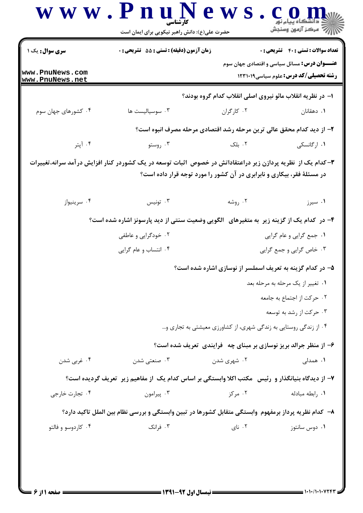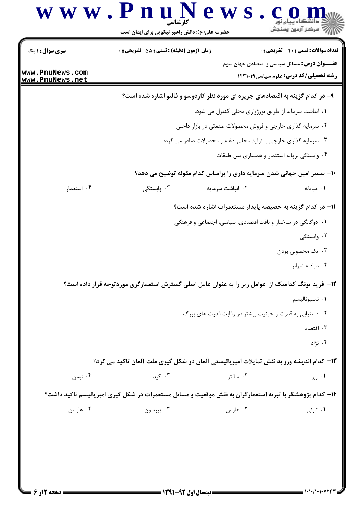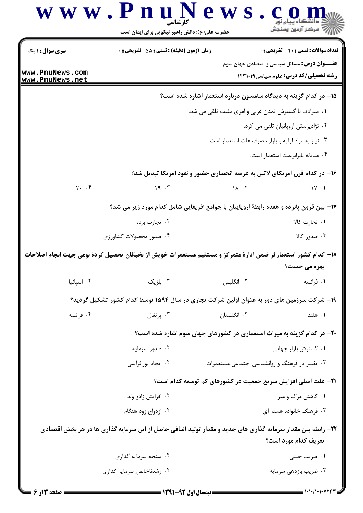|                                    | حضرت علی(ع): دانش راهبر نیکویی برای ایمان است                                                                 |                                                      | أأأ " مركز آزمون وسنجش                                                                             |
|------------------------------------|---------------------------------------------------------------------------------------------------------------|------------------------------------------------------|----------------------------------------------------------------------------------------------------|
| <b>سری سوال : ۱ یک</b>             | <b>زمان آزمون (دقیقه) : تستی : 55 تشریحی : 0</b>                                                              |                                                      | <b>تعداد سوالات : تستی : 40 - تشریحی : 0</b>                                                       |
| www.PnuNews.com<br>www.PnuNews.net |                                                                                                               |                                                      | <b>عنـــوان درس:</b> مسائل سیاسی و اقتصادی جهان سوم<br><b>رشته تحصیلی/کد درس:</b> علوم سیاسی123111 |
|                                    |                                                                                                               |                                                      | ۱۵– در کدام گزینه به دیدگاه سامسون درباره استعمار اشاره شده است؟                                   |
|                                    |                                                                                                               | ۰۱ مترادف با گسترش تمدن غربی و امری مثبت تلقی می شد. |                                                                                                    |
|                                    |                                                                                                               |                                                      | ٠٢ نژادپرستی اروپائيان تلقی می کرد.                                                                |
|                                    |                                                                                                               | ۰۳ نیاز به مواد اولیه و بازار مصرف علت استعمار است.  |                                                                                                    |
|                                    |                                                                                                               |                                                      | ۰۴ مبادله نابرابرعلت استعمار است.                                                                  |
|                                    | ۱۶- در کدام قرن امریکای لاتین به عرصه انحصاری حضور و نفوذ امریکا تبدیل شد؟                                    |                                                      |                                                                                                    |
| $Y.$ $\cdot$ $\uparrow$            | 19.7                                                                                                          | $\Lambda$ $\Lambda$ $\Lambda$                        | $\sqrt{11}$                                                                                        |
|                                    | ۱۷- بین قرون پانزده و هفده رابطهٔ اروپاییان با جوامع افریقایی شامل کدام مورد زیر می شد؟                       |                                                      |                                                                                                    |
|                                    | ۰۲ تجارت برده                                                                                                 |                                                      | ۰۱ تجارت کالا                                                                                      |
|                                    | ۰۴ صدور محصولات کشاورزی                                                                                       |                                                      | ۰۳ صدور کالا                                                                                       |
|                                    | ۱۸– کدام کشور استعمارگر ضمن ادارهٔ متمرکز و مستقیم مستعمرات خویش از نخبگان تحصیل کردهٔ بومی جهت انجام اصلاحات |                                                      |                                                                                                    |
|                                    |                                                                                                               |                                                      | بهره مي جست؟                                                                                       |
| ۰۴ اسپانیا                         | ۰۳ بلژیک                                                                                                      | ۰۲ انگلیس                                            | ۰۱ فرانسه                                                                                          |
|                                    | ۱۹- شرکت سرزمین های دور به عنوان اولین شرکت تجاری در سال ۱۵۹۴ توسط کدام کشور تشکیل گردید؟                     |                                                      |                                                                                                    |
| ۰۴ فرانسه                          | ۰۳ پرتغال                                                                                                     | ۰۲ انگلستان                                          | ۰۱ هلند                                                                                            |
|                                    | +۲- در کدام گزینه به میراث استعماری در کشورهای جهان سوم اشاره شده است؟                                        |                                                      |                                                                                                    |
|                                    | ۰۲ صدور سرمایه                                                                                                |                                                      | ٠١ گسترش بازار جهاني                                                                               |
|                                    | ۰۴ ایجاد بور کراسی                                                                                            | ۰۳ تغییر در فرهنگ و روانشناسی اجتماعی مستعمرات       |                                                                                                    |
|                                    |                                                                                                               |                                                      | <b>۲۱</b> - علت اصلی افزایش سریع جمعیت در کشورهای کم توسعه کدام است؟                               |
|                                    | ۰۲ افزایش زادو ولد                                                                                            |                                                      | ۰۱ کاهش مرگ و میر                                                                                  |
|                                    | ۰۴ ازدواج زود هنگام                                                                                           |                                                      | ۰۳ فرهنگ خانواده هسته ای                                                                           |
|                                    | ۲۲– رابطه بین مقدار سرمایه گذاری های جدید و مقدار تولید اضافی حاصل از این سرمایه گذاری ها در هر بخش اقتصادی   |                                                      | تعريف كدام مورد است؟                                                                               |
|                                    | ۰۲ سنجه سرمايه گذاري                                                                                          |                                                      | ۰۱ ضریب جینی                                                                                       |
|                                    | ۰۴ رشدناخالص سرمایه گذاری                                                                                     | ۰۳ ضریب بازدهی سرمایه                                |                                                                                                    |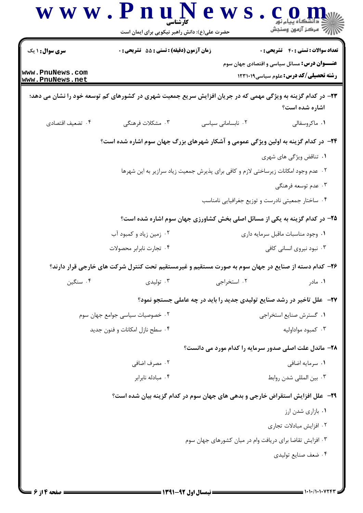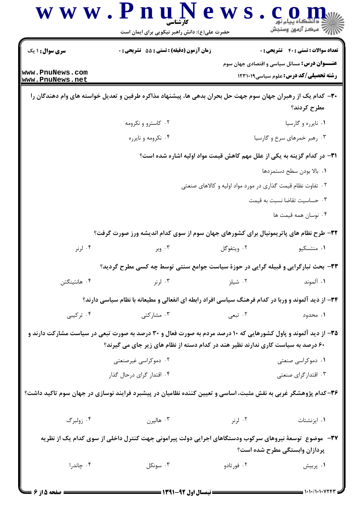